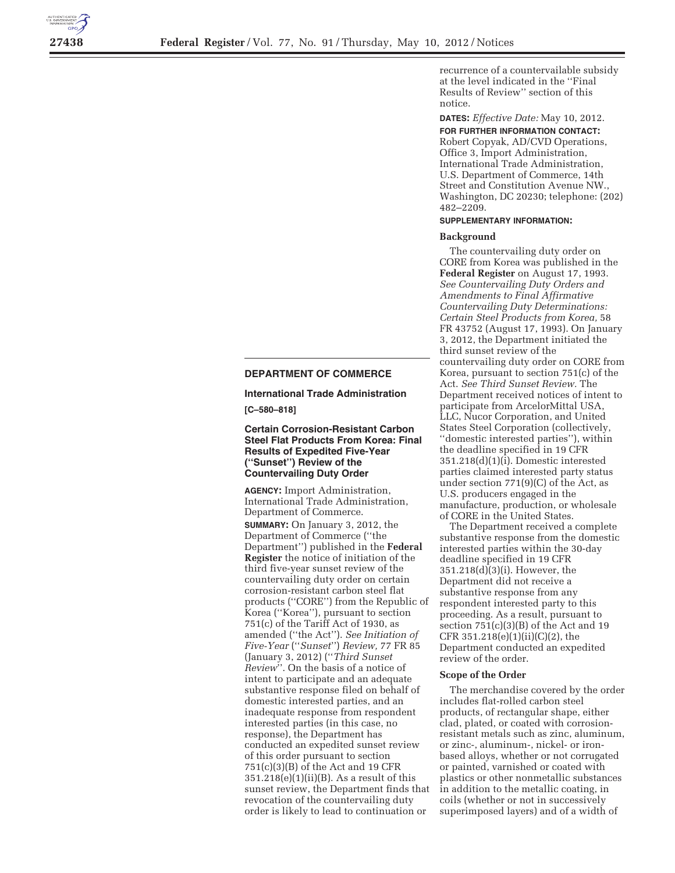

# **DEPARTMENT OF COMMERCE**

**International Trade Administration** 

**[C–580–818]** 

## **Certain Corrosion-Resistant Carbon Steel Flat Products From Korea: Final Results of Expedited Five-Year (''Sunset'') Review of the Countervailing Duty Order**

**AGENCY:** Import Administration, International Trade Administration, Department of Commerce. **SUMMARY:** On January 3, 2012, the Department of Commerce (''the Department'') published in the **Federal Register** the notice of initiation of the third five-year sunset review of the countervailing duty order on certain corrosion-resistant carbon steel flat products (''CORE'') from the Republic of Korea (''Korea''), pursuant to section 751(c) of the Tariff Act of 1930, as amended (''the Act''). *See Initiation of Five-Year* (''*Sunset*'') *Review,* 77 FR 85 (January 3, 2012) (''*Third Sunset Review*''. On the basis of a notice of intent to participate and an adequate substantive response filed on behalf of domestic interested parties, and an inadequate response from respondent interested parties (in this case, no response), the Department has conducted an expedited sunset review of this order pursuant to section 751(c)(3)(B) of the Act and 19 CFR  $351.218(e)(1)(ii)(B)$ . As a result of this sunset review, the Department finds that revocation of the countervailing duty order is likely to lead to continuation or

recurrence of a countervailable subsidy at the level indicated in the ''Final Results of Review'' section of this notice.

**DATES:** *Effective Date:* May 10, 2012. **FOR FURTHER INFORMATION CONTACT:**  Robert Copyak, AD/CVD Operations, Office 3, Import Administration, International Trade Administration, U.S. Department of Commerce, 14th Street and Constitution Avenue NW., Washington, DC 20230; telephone: (202) 482–2209.

#### **SUPPLEMENTARY INFORMATION:**

#### **Background**

The countervailing duty order on CORE from Korea was published in the **Federal Register** on August 17, 1993. *See Countervailing Duty Orders and Amendments to Final Affirmative Countervailing Duty Determinations: Certain Steel Products from Korea,* 58 FR 43752 (August 17, 1993). On January 3, 2012, the Department initiated the third sunset review of the countervailing duty order on CORE from Korea, pursuant to section 751(c) of the Act. *See Third Sunset Review.* The Department received notices of intent to participate from ArcelorMittal USA, LLC, Nucor Corporation, and United States Steel Corporation (collectively, ''domestic interested parties''), within the deadline specified in 19 CFR 351.218(d)(1)(i). Domestic interested parties claimed interested party status under section 771(9)(C) of the Act, as U.S. producers engaged in the manufacture, production, or wholesale of CORE in the United States.

The Department received a complete substantive response from the domestic interested parties within the 30-day deadline specified in 19 CFR 351.218(d)(3)(i). However, the Department did not receive a substantive response from any respondent interested party to this proceeding. As a result, pursuant to section  $751(c)(3)(B)$  of the Act and 19 CFR  $351.218(e)(1)(ii)(C)(2)$ , the Department conducted an expedited review of the order.

#### **Scope of the Order**

The merchandise covered by the order includes flat-rolled carbon steel products, of rectangular shape, either clad, plated, or coated with corrosionresistant metals such as zinc, aluminum, or zinc-, aluminum-, nickel- or ironbased alloys, whether or not corrugated or painted, varnished or coated with plastics or other nonmetallic substances in addition to the metallic coating, in coils (whether or not in successively superimposed layers) and of a width of